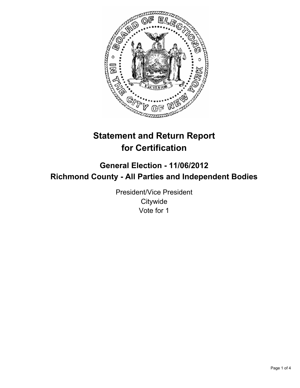

# **Statement and Return Report for Certification**

## **General Election - 11/06/2012 Richmond County - All Parties and Independent Bodies**

President/Vice President **Citywide** Vote for 1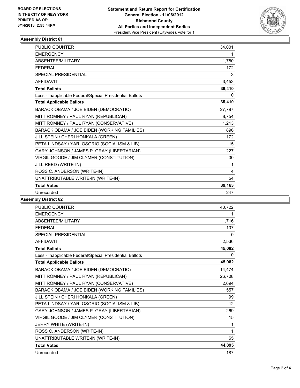

## **Assembly District 61**

| PUBLIC COUNTER                                           | 34,001      |
|----------------------------------------------------------|-------------|
| <b>EMERGENCY</b>                                         | 1           |
| ABSENTEE/MILITARY                                        | 1,780       |
| <b>FEDERAL</b>                                           | 172         |
| <b>SPECIAL PRESIDENTIAL</b>                              | 3           |
| <b>AFFIDAVIT</b>                                         | 3,453       |
| <b>Total Ballots</b>                                     | 39,410      |
| Less - Inapplicable Federal/Special Presidential Ballots | 0           |
| <b>Total Applicable Ballots</b>                          | 39,410      |
| BARACK OBAMA / JOE BIDEN (DEMOCRATIC)                    | 27,797      |
| MITT ROMNEY / PAUL RYAN (REPUBLICAN)                     | 8,754       |
| MITT ROMNEY / PAUL RYAN (CONSERVATIVE)                   | 1,213       |
| BARACK OBAMA / JOE BIDEN (WORKING FAMILIES)              | 896         |
| JILL STEIN / CHERI HONKALA (GREEN)                       | 172         |
| PETA LINDSAY / YARI OSORIO (SOCIALISM & LIB)             | 15          |
| GARY JOHNSON / JAMES P. GRAY (LIBERTARIAN)               | 227         |
| VIRGIL GOODE / JIM CLYMER (CONSTITUTION)                 | 30          |
| JILL REED (WRITE-IN)                                     | $\mathbf 1$ |
| ROSS C. ANDERSON (WRITE-IN)                              | 4           |
| UNATTRIBUTABLE WRITE-IN (WRITE-IN)                       | 54          |
| <b>Total Votes</b>                                       | 39,163      |
| Unrecorded                                               | 247         |

## **Assembly District 62**

| PUBLIC COUNTER                                           | 40,722 |
|----------------------------------------------------------|--------|
| <b>EMERGENCY</b>                                         | 1      |
| <b>ABSENTEE/MILITARY</b>                                 | 1,716  |
| <b>FEDERAL</b>                                           | 107    |
| <b>SPECIAL PRESIDENTIAL</b>                              | 0      |
| <b>AFFIDAVIT</b>                                         | 2,536  |
| <b>Total Ballots</b>                                     | 45,082 |
| Less - Inapplicable Federal/Special Presidential Ballots | 0      |
| <b>Total Applicable Ballots</b>                          | 45,082 |
| BARACK OBAMA / JOE BIDEN (DEMOCRATIC)                    | 14,474 |
| MITT ROMNEY / PAUL RYAN (REPUBLICAN)                     | 26,708 |
| MITT ROMNEY / PAUL RYAN (CONSERVATIVE)                   | 2,694  |
| BARACK OBAMA / JOE BIDEN (WORKING FAMILIES)              | 557    |
| JILL STEIN / CHERI HONKALA (GREEN)                       | 99     |
| PETA LINDSAY / YARI OSORIO (SOCIALISM & LIB)             | 12     |
| GARY JOHNSON / JAMES P. GRAY (LIBERTARIAN)               | 269    |
| VIRGIL GOODE / JIM CLYMER (CONSTITUTION)                 | 15     |
| JERRY WHITE (WRITE-IN)                                   | 1      |
| ROSS C. ANDERSON (WRITE-IN)                              | 1      |
| UNATTRIBUTABLE WRITE-IN (WRITE-IN)                       | 65     |
| <b>Total Votes</b>                                       | 44,895 |
| Unrecorded                                               | 187    |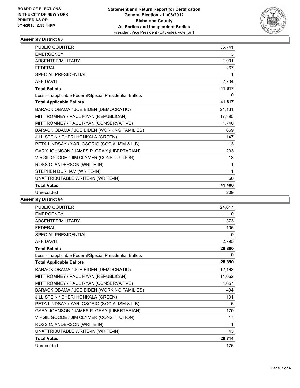

#### **Assembly District 63**

| PUBLIC COUNTER                                           | 36,741   |
|----------------------------------------------------------|----------|
| <b>EMERGENCY</b>                                         | 3        |
| <b>ABSENTEE/MILITARY</b>                                 | 1,901    |
| <b>FEDERAL</b>                                           | 267      |
| <b>SPECIAL PRESIDENTIAL</b>                              | 1        |
| <b>AFFIDAVIT</b>                                         | 2,704    |
| <b>Total Ballots</b>                                     | 41,617   |
| Less - Inapplicable Federal/Special Presidential Ballots | $\Omega$ |
| <b>Total Applicable Ballots</b>                          | 41,617   |
| BARACK OBAMA / JOE BIDEN (DEMOCRATIC)                    | 21,131   |
| MITT ROMNEY / PAUL RYAN (REPUBLICAN)                     | 17,395   |
| MITT ROMNEY / PAUL RYAN (CONSERVATIVE)                   | 1,740    |
| BARACK OBAMA / JOE BIDEN (WORKING FAMILIES)              | 669      |
| JILL STEIN / CHERI HONKALA (GREEN)                       | 147      |
| PETA LINDSAY / YARI OSORIO (SOCIALISM & LIB)             | 13       |
| GARY JOHNSON / JAMES P. GRAY (LIBERTARIAN)               | 233      |
| VIRGIL GOODE / JIM CLYMER (CONSTITUTION)                 | 18       |
| ROSS C. ANDERSON (WRITE-IN)                              | 1        |
| STEPHEN DURHAM (WRITE-IN)                                | 1        |
| UNATTRIBUTABLE WRITE-IN (WRITE-IN)                       | 60       |
| <b>Total Votes</b>                                       | 41,408   |
| Unrecorded                                               | 209      |

### **Assembly District 64**

| <b>PUBLIC COUNTER</b>                                    | 24,617 |
|----------------------------------------------------------|--------|
| <b>EMERGENCY</b>                                         | 0      |
| ABSENTEE/MILITARY                                        | 1,373  |
| <b>FFDFRAL</b>                                           | 105    |
| <b>SPECIAL PRESIDENTIAL</b>                              | 0      |
| <b>AFFIDAVIT</b>                                         | 2,795  |
| <b>Total Ballots</b>                                     | 28,890 |
| Less - Inapplicable Federal/Special Presidential Ballots | 0      |
| <b>Total Applicable Ballots</b>                          | 28,890 |
| BARACK OBAMA / JOE BIDEN (DEMOCRATIC)                    | 12,163 |
| MITT ROMNEY / PAUL RYAN (REPUBLICAN)                     | 14,062 |
| MITT ROMNEY / PAUL RYAN (CONSERVATIVE)                   | 1,657  |
| BARACK OBAMA / JOE BIDEN (WORKING FAMILIES)              | 494    |
| JILL STEIN / CHERI HONKALA (GREEN)                       | 101    |
| PETA LINDSAY / YARI OSORIO (SOCIALISM & LIB)             | 6      |
| GARY JOHNSON / JAMES P. GRAY (LIBERTARIAN)               | 170    |
| VIRGIL GOODE / JIM CLYMER (CONSTITUTION)                 | 17     |
| ROSS C. ANDERSON (WRITE-IN)                              | 1      |
| UNATTRIBUTABLE WRITE-IN (WRITE-IN)                       | 43     |
| <b>Total Votes</b>                                       | 28,714 |
| Unrecorded                                               | 176    |